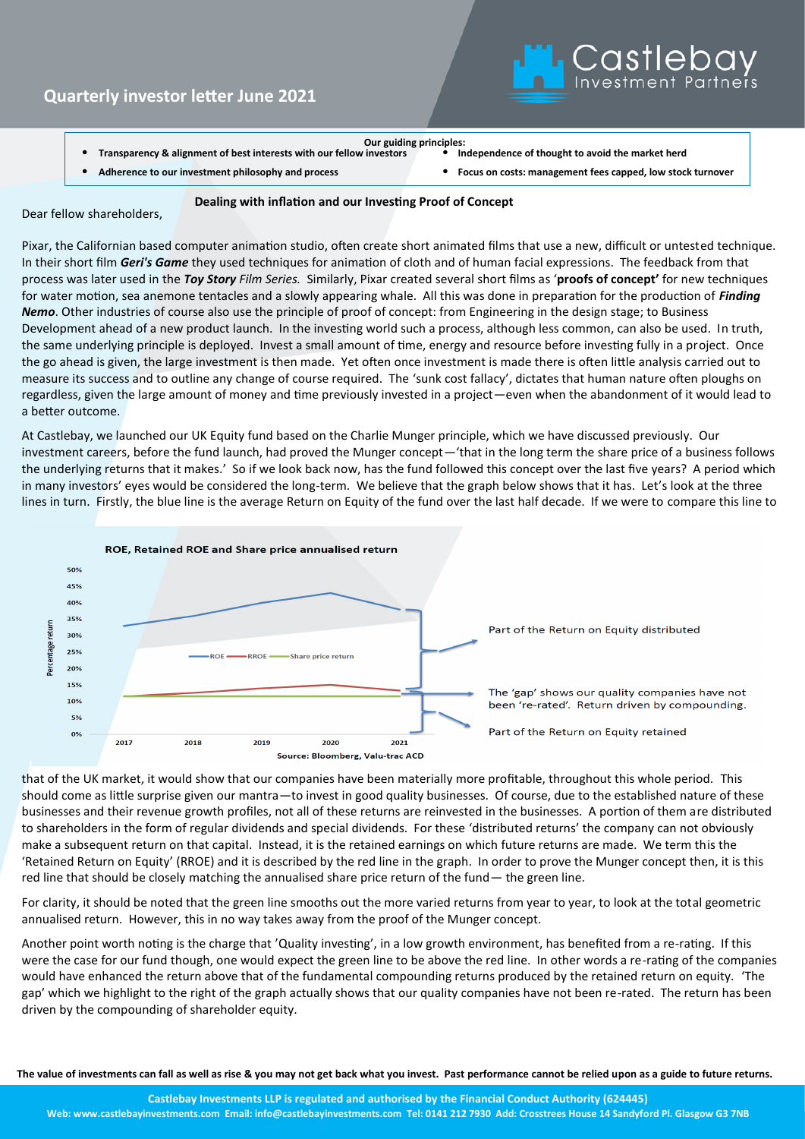## **Quarterly investor letter June 2021**



**Transparency & alignment of best interests with our fellow investors** 

**Our guiding principles:**

• **Adherence to our investment philosophy and process** • **Focus on costs: management fees capped, low stock turnover**

 **Dealing with inflation and our Investing Proof of Concept**

Dear fellow shareholders,

Pixar, the Californian based computer animation studio, often create short animated films that use a new, difficult or untested technique. In their short film *Geri's Game* they used techniques for animation of cloth and of human facial expressions. The feedback from that process was later used in the *Toy Story Film Series.* Similarly, Pixar created several short films as '**proofs of concept'** for new techniques for water motion, sea anemone tentacles and a slowly appearing whale. All this was done in preparation for the production of *Finding Nemo*. Other industries of course also use the principle of proof of concept: from Engineering in the design stage; to Business Development ahead of a new product launch. In the investing world such a process, although less common, can also be used. In truth, the same underlying principle is deployed. Invest a small amount of time, energy and resource before investing fully in a project. Once the go ahead is given, the large investment is then made. Yet often once investment is made there is often little analysis carried out to measure its success and to outline any change of course required. The 'sunk cost fallacy', dictates that human nature often ploughs on regardless, given the large amount of money and time previously invested in a project—even when the abandonment of it would lead to a better outcome.

At Castlebay, we launched our UK Equity fund based on the Charlie Munger principle, which we have discussed previously. Our investment careers, before the fund launch, had proved the Munger concept—'that in the long term the share price of a business follows the underlying returns that it makes.' So if we look back now, has the fund followed this concept over the last five years? A period which in many investors' eyes would be considered the long-term. We believe that the graph below shows that it has. Let's look at the three lines in turn. Firstly, the blue line is the average Return on Equity of the fund over the last half decade. If we were to compare this line to



that of the UK market, it would show that our companies have been materially more profitable, throughout this whole period. This should come as little surprise given our mantra—to invest in good quality businesses. Of course, due to the established nature of these businesses and their revenue growth profiles, not all of these returns are reinvested in the businesses. A portion of them are distributed to shareholders in the form of regular dividends and special dividends. For these 'distributed returns' the company can not obviously make a subsequent return on that capital. Instead, it is the retained earnings on which future returns are made. We term this the 'Retained Return on Equity' (RROE) and it is described by the red line in the graph. In order to prove the Munger concept then, it is this red line that should be closely matching the annualised share price return of the fund— the green line.

For clarity, it should be noted that the green line smooths out the more varied returns from year to year, to look at the total geometric annualised return. However, this in no way takes away from the proof of the Munger concept.

Another point worth noting is the charge that 'Quality investing', in a low growth environment, has benefited from a re-rating. If this were the case for our fund though, one would expect the green line to be above the red line. In other words a re-rating of the companies would have enhanced the return above that of the fundamental compounding returns produced by the retained return on equity. 'The gap' which we highlight to the right of the graph actually shows that our quality companies have not been re-rated. The return has been driven by the compounding of shareholder equity.

**The value of investments can fall as well as rise & you may not get back what you invest. Past performance cannot be relied upon as a guide to future returns.**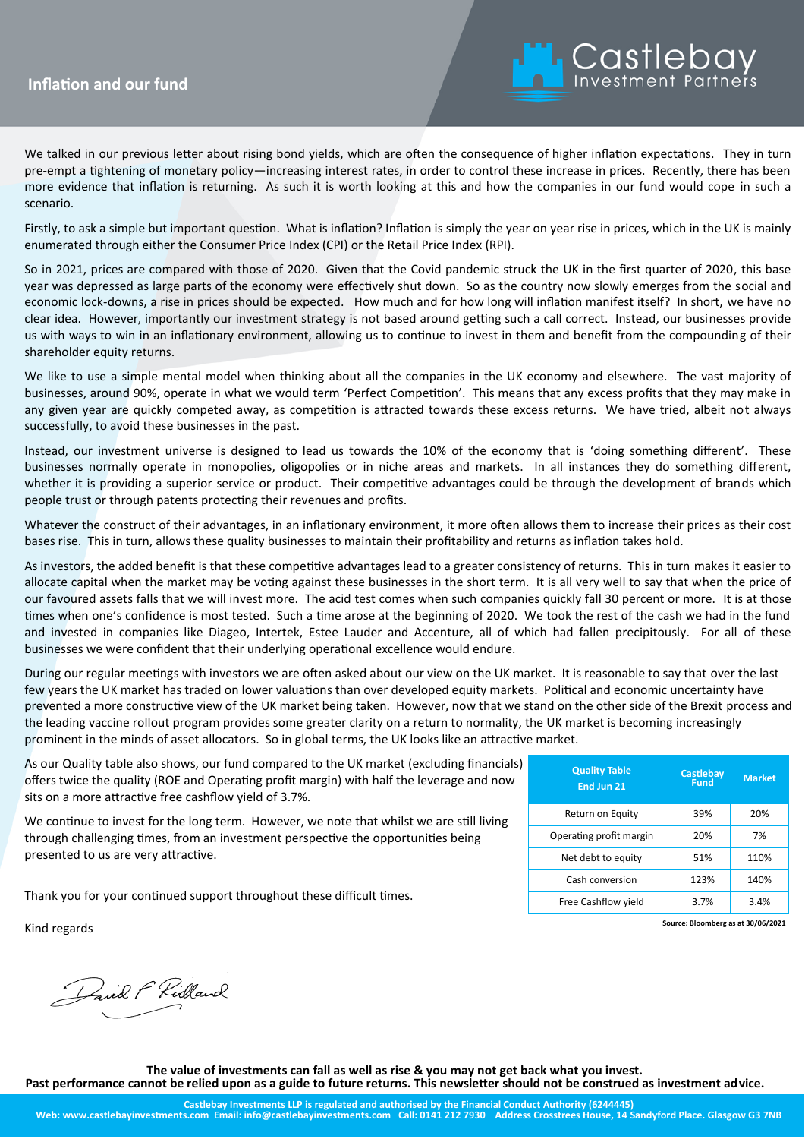## **In Focus Inflation and our fund**



We talked in our previous letter about rising bond yields, which are often the consequence of higher inflation expectations. They in turn pre-empt a tightening of monetary policy—increasing interest rates, in order to control these increase in prices. Recently, there has been more evidence that inflation is returning. As such it is worth looking at this and how the companies in our fund would cope in such a scenario.

Firstly, to ask a simple but important question. What is inflation? Inflation is simply the year on year rise in prices, which in the UK is mainly enumerated through either the Consumer Price Index (CPI) or the Retail Price Index (RPI).

So in 2021, prices are compared with those of 2020. Given that the Covid pandemic struck the UK in the first quarter of 2020, this base year was depressed as large parts of the economy were effectively shut down. So as the country now slowly emerges from the social and economic lock-downs, a rise in prices should be expected. How much and for how long will inflation manifest itself? In short, we have no clear idea. However, importantly our investment strategy is not based around getting such a call correct. Instead, our businesses provide us with ways to win in an inflationary environment, allowing us to continue to invest in them and benefit from the compounding of their shareholder equity returns.

We like to use a simple mental model when thinking about all the companies in the UK economy and elsewhere. The vast majority of businesses, around 90%, operate in what we would term 'Perfect Competition'. This means that any excess profits that they may make in any given year are quickly competed away, as competition is attracted towards these excess returns. We have tried, albeit not always successfully, to avoid these businesses in the past.

Instead, our investment universe is designed to lead us towards the 10% of the economy that is 'doing something different'. These businesses normally operate in monopolies, oligopolies or in niche areas and markets. In all instances they do something different, whether it is providing a superior service or product. Their competitive advantages could be through the development of brands which people trust or through patents protecting their revenues and profits.

Whatever the construct of their advantages, in an inflationary environment, it more often allows them to increase their prices as their cost bases rise. This in turn, allows these quality businesses to maintain their profitability and returns as inflation takes hold.

As investors, the added benefit is that these competitive advantages lead to a greater consistency of returns. This in turn makes it easier to allocate capital when the market may be voting against these businesses in the short term. It is all very well to say that when the price of our favoured assets falls that we will invest more. The acid test comes when such companies quickly fall 30 percent or more. It is at those times when one's confidence is most tested. Such a time arose at the beginning of 2020. We took the rest of the cash we had in the fund and invested in companies like Diageo, Intertek, Estee Lauder and Accenture, all of which had fallen precipitously. For all of these businesses we were confident that their underlying operational excellence would endure.

During our regular meetings with investors we are often asked about our view on the UK market. It is reasonable to say that over the last few years the UK market has traded on lower valuations than over developed equity markets. Political and economic uncertainty have prevented a more constructive view of the UK market being taken. However, now that we stand on the other side of the Brexit process and the leading vaccine rollout program provides some greater clarity on a return to normality, the UK market is becoming increasingly prominent in the minds of asset allocators. So in global terms, the UK looks like an attractive market.

As our Quality table also shows, our fund compared to the UK market (excluding financials) offers twice the quality (ROE and Operating profit margin) with half the leverage and now sits on a more attractive free cashflow yield of 3.7%.

We continue to invest for the long term. However, we note that whilst we are still living through challenging times, from an investment perspective the opportunities being presented to us are very attractive.

Thank you for your continued support throughout these difficult times.

Kind regards

Pavil F Ridland

| <b>Quality Table</b><br>End Jun 21 | <b>Castlebay</b><br>Fund | <b>Market</b> |
|------------------------------------|--------------------------|---------------|
| Return on Equity                   | 39%                      | 20%           |
| Operating profit margin            | 20%                      | 7%            |
| Net debt to equity                 | 51%                      | 110%          |
| Cash conversion                    | 123%                     | 140%          |
| Free Cashflow yield                | 3.7%                     | 3.4%          |

**Source: Bloomberg as at 30/06/2021**

**The value of investments can fall as well as rise & you may not get back what you invest.** 

**Past performance cannot be relied upon as a guide to future returns. This newsletter should not be construed as investment advice.**